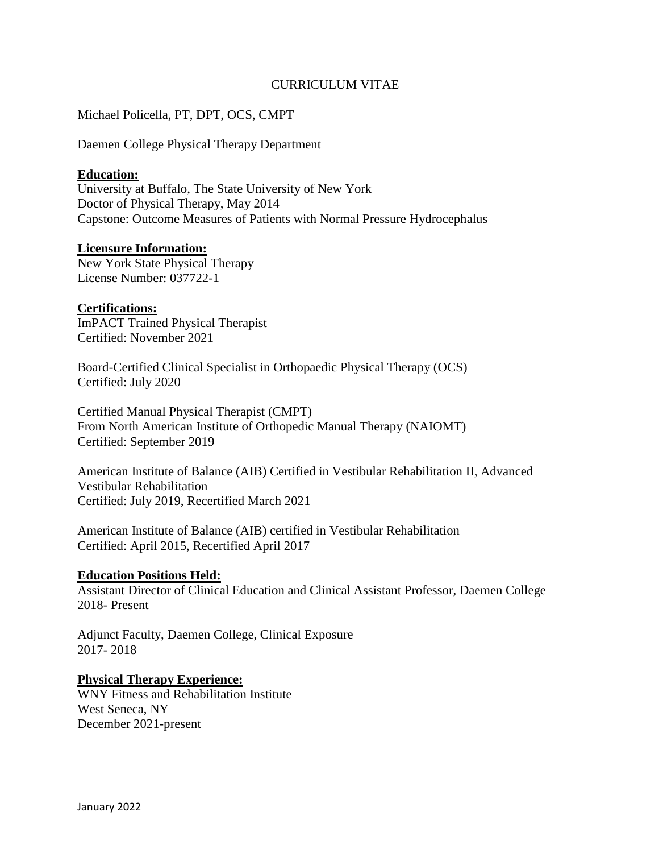# CURRICULUM VITAE

# Michael Policella, PT, DPT, OCS, CMPT

Daemen College Physical Therapy Department

### **Education:**

University at Buffalo, The State University of New York Doctor of Physical Therapy, May 2014 Capstone: Outcome Measures of Patients with Normal Pressure Hydrocephalus

### **Licensure Information:**

New York State Physical Therapy License Number: 037722-1

### **Certifications:**

ImPACT Trained Physical Therapist Certified: November 2021

Board-Certified Clinical Specialist in Orthopaedic Physical Therapy (OCS) Certified: July 2020

Certified Manual Physical Therapist (CMPT) From North American Institute of Orthopedic Manual Therapy (NAIOMT) Certified: September 2019

American Institute of Balance (AIB) Certified in Vestibular Rehabilitation II, Advanced Vestibular Rehabilitation Certified: July 2019, Recertified March 2021

American Institute of Balance (AIB) certified in Vestibular Rehabilitation Certified: April 2015, Recertified April 2017

### **Education Positions Held:**

Assistant Director of Clinical Education and Clinical Assistant Professor, Daemen College 2018- Present

Adjunct Faculty, Daemen College, Clinical Exposure 2017- 2018

### **Physical Therapy Experience:**

WNY Fitness and Rehabilitation Institute West Seneca, NY December 2021-present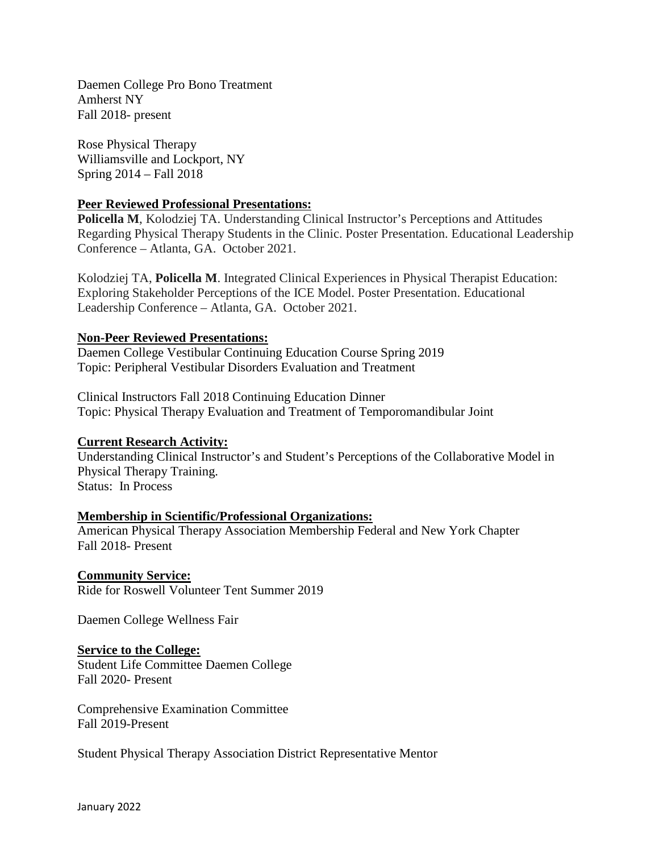Daemen College Pro Bono Treatment Amherst NY Fall 2018- present

Rose Physical Therapy Williamsville and Lockport, NY Spring 2014 – Fall 2018

# **Peer Reviewed Professional Presentations:**

**Policella M**, Kolodziej TA. Understanding Clinical Instructor's Perceptions and Attitudes Regarding Physical Therapy Students in the Clinic. Poster Presentation. Educational Leadership Conference – Atlanta, GA. October 2021.

Kolodziej TA, **Policella M**. Integrated Clinical Experiences in Physical Therapist Education: Exploring Stakeholder Perceptions of the ICE Model. Poster Presentation. Educational Leadership Conference – Atlanta, GA. October 2021.

### **Non-Peer Reviewed Presentations:**

Daemen College Vestibular Continuing Education Course Spring 2019 Topic: Peripheral Vestibular Disorders Evaluation and Treatment

Clinical Instructors Fall 2018 Continuing Education Dinner Topic: Physical Therapy Evaluation and Treatment of Temporomandibular Joint

# **Current Research Activity:**

Understanding Clinical Instructor's and Student's Perceptions of the Collaborative Model in Physical Therapy Training. Status: In Process

### **Membership in Scientific/Professional Organizations:**

American Physical Therapy Association Membership Federal and New York Chapter Fall 2018- Present

### **Community Service:**

Ride for Roswell Volunteer Tent Summer 2019

Daemen College Wellness Fair

### **Service to the College:**

Student Life Committee Daemen College Fall 2020- Present

Comprehensive Examination Committee Fall 2019-Present

Student Physical Therapy Association District Representative Mentor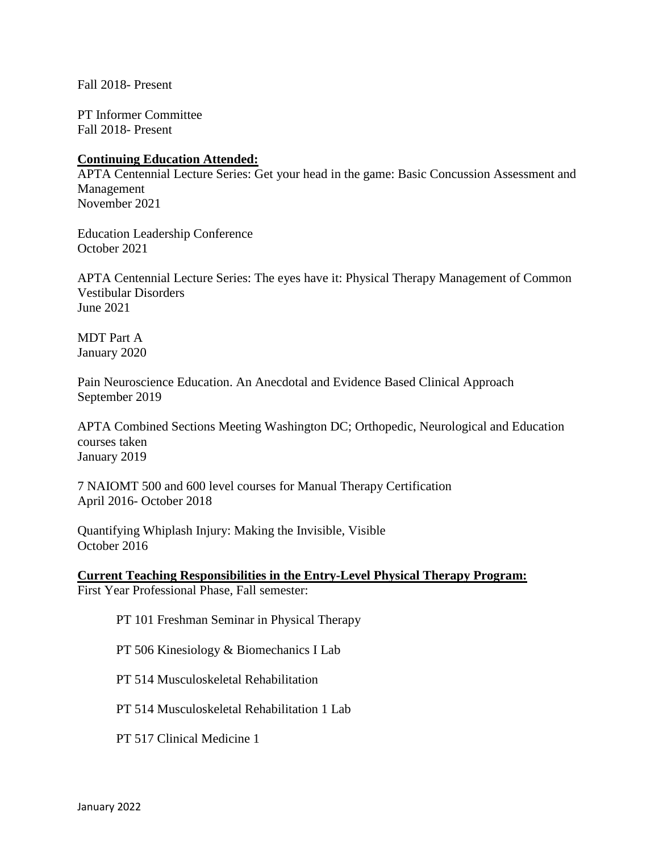Fall 2018- Present

PT Informer Committee Fall 2018- Present

### **Continuing Education Attended:**

APTA Centennial Lecture Series: Get your head in the game: Basic Concussion Assessment and Management November 2021

Education Leadership Conference October 2021

APTA Centennial Lecture Series: The eyes have it: Physical Therapy Management of Common Vestibular Disorders June 2021

MDT Part A January 2020

Pain Neuroscience Education. An Anecdotal and Evidence Based Clinical Approach September 2019

APTA Combined Sections Meeting Washington DC; Orthopedic, Neurological and Education courses taken January 2019

7 NAIOMT 500 and 600 level courses for Manual Therapy Certification April 2016- October 2018

Quantifying Whiplash Injury: Making the Invisible, Visible October 2016

**Current Teaching Responsibilities in the Entry-Level Physical Therapy Program:**  First Year Professional Phase, Fall semester:

PT 101 Freshman Seminar in Physical Therapy

PT 506 Kinesiology & Biomechanics I Lab

PT 514 Musculoskeletal Rehabilitation

PT 514 Musculoskeletal Rehabilitation 1 Lab

PT 517 Clinical Medicine 1